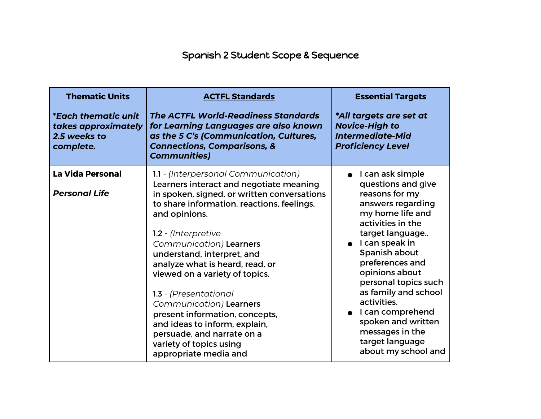## Spanish 2 Student Scope & Sequence

| <b>Thematic Units</b><br><i>*Each thematic unit</i><br>takes approximately<br>2.5 weeks to<br>complete. | <b>ACTFL Standards</b><br><b>The ACTFL World-Readiness Standards</b><br>for Learning Languages are also known<br>as the 5 C's (Communication, Cultures,<br><b>Connections, Comparisons, &amp;</b><br><b>Communities)</b>                                                                                                                                                                                                                                                                                                                                   | <b>Essential Targets</b><br>*All targets are set at<br><b>Novice-High to</b><br><b>Intermediate-Mid</b><br><b>Proficiency Level</b>                                                                                                                                                                                                                                                               |
|---------------------------------------------------------------------------------------------------------|------------------------------------------------------------------------------------------------------------------------------------------------------------------------------------------------------------------------------------------------------------------------------------------------------------------------------------------------------------------------------------------------------------------------------------------------------------------------------------------------------------------------------------------------------------|---------------------------------------------------------------------------------------------------------------------------------------------------------------------------------------------------------------------------------------------------------------------------------------------------------------------------------------------------------------------------------------------------|
| <b>La Vida Personal</b><br><b>Personal Life</b>                                                         | 1.1 - (Interpersonal Communication)<br>Learners interact and negotiate meaning<br>in spoken, signed, or written conversations<br>to share information, reactions, feelings,<br>and opinions.<br>1.2 - (Interpretive<br>Communication) Learners<br>understand, interpret, and<br>analyze what is heard, read, or<br>viewed on a variety of topics.<br>1.3 - (Presentational<br>Communication) Learners<br>present information, concepts,<br>and ideas to inform, explain,<br>persuade, and narrate on a<br>variety of topics using<br>appropriate media and | I can ask simple<br>questions and give<br>reasons for my<br>answers regarding<br>my home life and<br>activities in the<br>target language<br>$\bullet$ I can speak in<br>Spanish about<br>preferences and<br>opinions about<br>personal topics such<br>as family and school<br>activities.<br>I can comprehend<br>spoken and written<br>messages in the<br>target language<br>about my school and |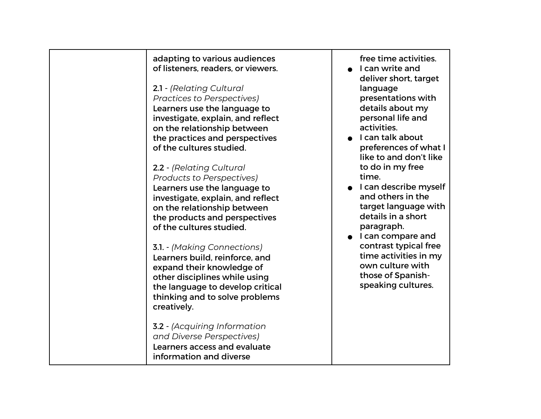| adapting to various audiences<br>of listeners, readers, or viewers.<br>2.1 - (Relating Cultural<br><b>Practices to Perspectives)</b><br>Learners use the language to<br>investigate, explain, and reflect<br>on the relationship between<br>the practices and perspectives<br>of the cultures studied.<br>2.2 - (Relating Cultural<br>Products to Perspectives)<br>Learners use the language to<br>investigate, explain, and reflect<br>on the relationship between<br>the products and perspectives<br>of the cultures studied.<br><b>3.1. - (Making Connections)</b><br>Learners build, reinforce, and<br>expand their knowledge of<br>other disciplines while using<br>the language to develop critical<br>thinking and to solve problems<br>creatively.<br><b>3.2</b> - (Acquiring Information | free time activities.<br>I can write and<br>deliver short, target<br>language<br>presentations with<br>details about my<br>personal life and<br>activities.<br>I can talk about<br>preferences of what I<br>like to and don't like<br>to do in my free<br>time.<br>I can describe myself<br>and others in the<br>target language with<br>details in a short<br>paragraph.<br>I can compare and<br>contrast typical free<br>time activities in my<br>own culture with<br>those of Spanish-<br>speaking cultures. |
|----------------------------------------------------------------------------------------------------------------------------------------------------------------------------------------------------------------------------------------------------------------------------------------------------------------------------------------------------------------------------------------------------------------------------------------------------------------------------------------------------------------------------------------------------------------------------------------------------------------------------------------------------------------------------------------------------------------------------------------------------------------------------------------------------|-----------------------------------------------------------------------------------------------------------------------------------------------------------------------------------------------------------------------------------------------------------------------------------------------------------------------------------------------------------------------------------------------------------------------------------------------------------------------------------------------------------------|
| and Diverse Perspectives)<br>Learners access and evaluate<br>information and diverse                                                                                                                                                                                                                                                                                                                                                                                                                                                                                                                                                                                                                                                                                                               |                                                                                                                                                                                                                                                                                                                                                                                                                                                                                                                 |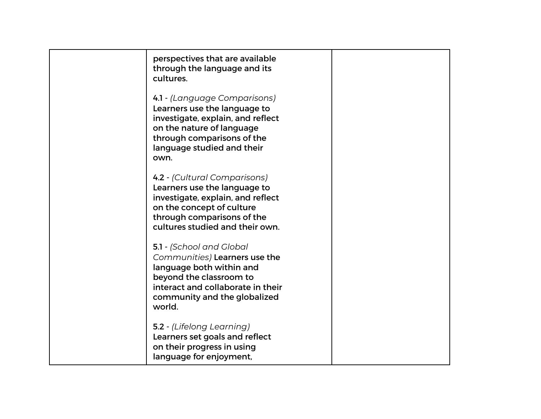| perspectives that are available<br>through the language and its<br>cultures.                                                                                                                       |  |
|----------------------------------------------------------------------------------------------------------------------------------------------------------------------------------------------------|--|
| 4.1 - (Language Comparisons)<br>Learners use the language to<br>investigate, explain, and reflect<br>on the nature of language<br>through comparisons of the<br>language studied and their<br>own. |  |
| 4.2 - (Cultural Comparisons)<br>Learners use the language to<br>investigate, explain, and reflect<br>on the concept of culture<br>through comparisons of the<br>cultures studied and their own.    |  |
| 5.1 - (School and Global<br>Communities) Learners use the<br>language both within and<br>beyond the classroom to<br>interact and collaborate in their<br>community and the globalized<br>world.    |  |
| 5.2 - (Lifelong Learning)<br>Learners set goals and reflect<br>on their progress in using<br>language for enjoyment,                                                                               |  |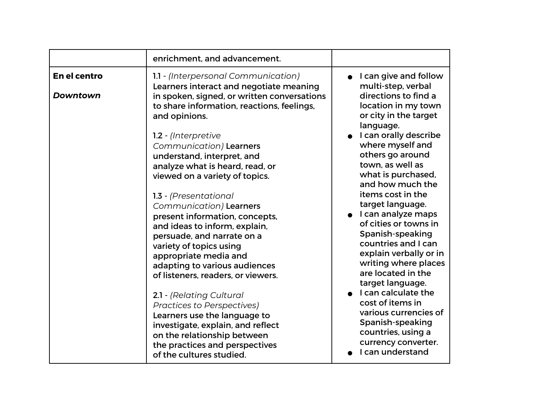|                                 | enrichment, and advancement.                                                                                                                                                                                                                                                                                                                                                                                                                                                           |                                                                                                                                                                                                                                                                                                                                                                                                                                                                                                                                                                                                                                                         |
|---------------------------------|----------------------------------------------------------------------------------------------------------------------------------------------------------------------------------------------------------------------------------------------------------------------------------------------------------------------------------------------------------------------------------------------------------------------------------------------------------------------------------------|---------------------------------------------------------------------------------------------------------------------------------------------------------------------------------------------------------------------------------------------------------------------------------------------------------------------------------------------------------------------------------------------------------------------------------------------------------------------------------------------------------------------------------------------------------------------------------------------------------------------------------------------------------|
| En el centro<br><b>Downtown</b> | 1.1 - (Interpersonal Communication)<br>Learners interact and negotiate meaning<br>in spoken, signed, or written conversations<br>to share information, reactions, feelings,<br>and opinions.<br>1.2 - (Interpretive<br>Communication) Learners<br>understand, interpret, and<br>analyze what is heard, read, or<br>viewed on a variety of topics.<br>1.3 - (Presentational                                                                                                             | I can give and follow<br>multi-step, verbal<br>directions to find a<br>location in my town<br>or city in the target<br>language.<br>I can orally describe<br>where myself and<br>others go around<br>town, as well as<br>what is purchased,<br>and how much the<br>items cost in the<br>target language.<br>I can analyze maps<br>of cities or towns in<br>Spanish-speaking<br>countries and I can<br>explain verbally or in<br>writing where places<br>are located in the<br>target language.<br>I can calculate the<br>cost of items in<br>various currencies of<br>Spanish-speaking<br>countries, using a<br>currency converter.<br>I can understand |
|                                 | Communication) Learners<br>present information, concepts,<br>and ideas to inform, explain,<br>persuade, and narrate on a<br>variety of topics using<br>appropriate media and<br>adapting to various audiences<br>of listeners, readers, or viewers.<br>2.1 - (Relating Cultural<br><b>Practices to Perspectives)</b><br>Learners use the language to<br>investigate, explain, and reflect<br>on the relationship between<br>the practices and perspectives<br>of the cultures studied. |                                                                                                                                                                                                                                                                                                                                                                                                                                                                                                                                                                                                                                                         |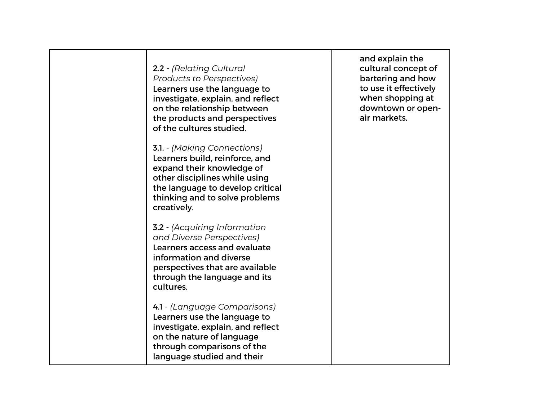| 2.2 - (Relating Cultural<br><b>Products to Perspectives)</b><br>Learners use the language to<br>investigate, explain, and reflect<br>on the relationship between<br>the products and perspectives<br>of the cultures studied. | and explain the<br>cultural concept of<br>bartering and how<br>to use it effectively<br>when shopping at<br>downtown or open-<br>air markets. |
|-------------------------------------------------------------------------------------------------------------------------------------------------------------------------------------------------------------------------------|-----------------------------------------------------------------------------------------------------------------------------------------------|
| <b>3.1.</b> - (Making Connections)<br>Learners build, reinforce, and<br>expand their knowledge of<br>other disciplines while using<br>the language to develop critical<br>thinking and to solve problems<br>creatively.       |                                                                                                                                               |
| <b>3.2</b> - (Acquiring Information<br>and Diverse Perspectives)<br>Learners access and evaluate<br>information and diverse<br>perspectives that are available<br>through the language and its<br>cultures.                   |                                                                                                                                               |
| 4.1 - (Language Comparisons)<br>Learners use the language to<br>investigate, explain, and reflect<br>on the nature of language<br>through comparisons of the<br>language studied and their                                    |                                                                                                                                               |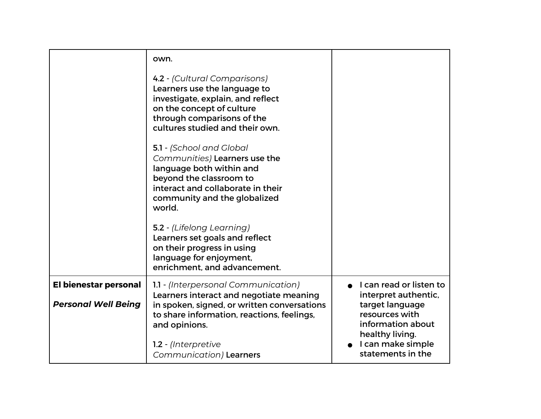|                            | own.                                                                                                                                                                                                                        |                                                                           |
|----------------------------|-----------------------------------------------------------------------------------------------------------------------------------------------------------------------------------------------------------------------------|---------------------------------------------------------------------------|
|                            | 4.2 - (Cultural Comparisons)<br>Learners use the language to<br>investigate, explain, and reflect<br>on the concept of culture<br>through comparisons of the<br>cultures studied and their own.<br>5.1 - (School and Global |                                                                           |
|                            | Communities) Learners use the<br>language both within and<br>beyond the classroom to<br>interact and collaborate in their<br>community and the globalized<br>world.                                                         |                                                                           |
|                            | 5.2 - (Lifelong Learning)<br>Learners set goals and reflect<br>on their progress in using<br>language for enjoyment,<br>enrichment, and advancement.                                                                        |                                                                           |
| El bienestar personal      | 1.1 - (Interpersonal Communication)<br>Learners interact and negotiate meaning                                                                                                                                              | I can read or listen to<br>interpret authentic,                           |
| <b>Personal Well Being</b> | in spoken, signed, or written conversations<br>to share information, reactions, feelings,<br>and opinions.                                                                                                                  | target language<br>resources with<br>information about<br>healthy living. |
|                            | 1.2 - (Interpretive<br>Communication) Learners                                                                                                                                                                              | I can make simple<br>statements in the                                    |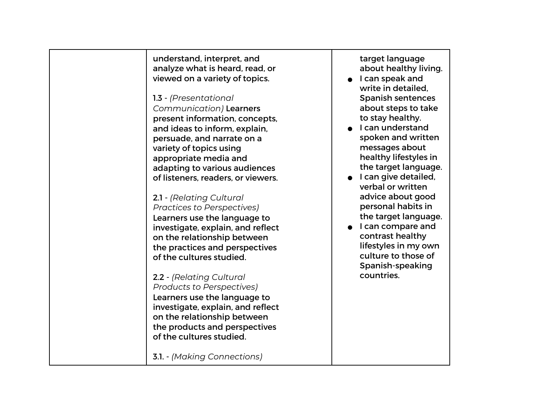understand, interpret, and analyze what is heard, read, or viewed on a variety of topics. 1.3 - *(Presentational Communication)* Learners present information, concepts, and ideas to inform, explain, persuade, and narrate on a variety of topics using appropriate media and adapting to various audiences of listeners, readers, or viewers. 2.1 - *(Relating Cultural Practices to Perspectives)*  Learners use the language to investigate, explain, and reflect on the relationship between the practices and perspectives of the cultures studied. 2.2 - *(Relating Cultural Products to Perspectives)* Learners use the language to investigate, explain, and reflect on the relationship between the products and perspectives of the cultures studied. 3.1. - *(Making Connections)* target language about healthy living. ● I can speak and write in detailed, Spanish sentences about steps to take to stay healthy. ● I can understand spoken and written messages about healthy lifestyles in the target language. ● I can give detailed, verbal or written advice about good personal habits in the target language. ● I can compare and contrast healthy lifestyles in my own culture to those of Spanish-speaking countries.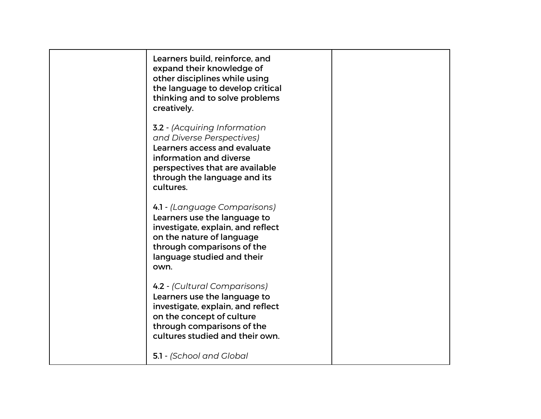| Learners build, reinforce, and<br>expand their knowledge of<br>other disciplines while using<br>the language to develop critical<br>thinking and to solve problems<br>creatively.                           |  |
|-------------------------------------------------------------------------------------------------------------------------------------------------------------------------------------------------------------|--|
| <b>3.2</b> - (Acquiring Information<br>and Diverse Perspectives)<br>Learners access and evaluate<br>information and diverse<br>perspectives that are available<br>through the language and its<br>cultures. |  |
| 4.1 - (Language Comparisons)<br>Learners use the language to<br>investigate, explain, and reflect<br>on the nature of language<br>through comparisons of the<br>language studied and their<br>own.          |  |
| 4.2 - (Cultural Comparisons)<br>Learners use the language to<br>investigate, explain, and reflect<br>on the concept of culture<br>through comparisons of the<br>cultures studied and their own.             |  |
| 5.1 - (School and Global                                                                                                                                                                                    |  |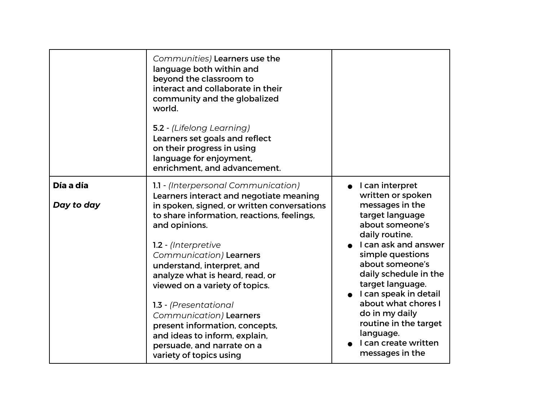|            | Communities) Learners use the<br>language both within and<br>beyond the classroom to<br>interact and collaborate in their<br>community and the globalized<br>world.<br>5.2 - (Lifelong Learning)<br>Learners set goals and reflect<br>on their progress in using<br>language for enjoyment,<br>enrichment, and advancement. |                                                                                                                                   |
|------------|-----------------------------------------------------------------------------------------------------------------------------------------------------------------------------------------------------------------------------------------------------------------------------------------------------------------------------|-----------------------------------------------------------------------------------------------------------------------------------|
| Día a día  | 1.1 - (Interpersonal Communication)<br>Learners interact and negotiate meaning                                                                                                                                                                                                                                              | I can interpret<br>written or spoken                                                                                              |
| Day to day | in spoken, signed, or written conversations<br>to share information, reactions, feelings,<br>and opinions.                                                                                                                                                                                                                  | messages in the<br>target language<br>about someone's<br>daily routine.                                                           |
|            | 1.2 - (Interpretive<br>Communication) Learners<br>understand, interpret, and<br>analyze what is heard, read, or<br>viewed on a variety of topics.                                                                                                                                                                           | I can ask and answer<br>simple questions<br>about someone's<br>daily schedule in the<br>target language.<br>I can speak in detail |
|            | 1.3 - (Presentational<br>Communication) Learners<br>present information, concepts,<br>and ideas to inform, explain,<br>persuade, and narrate on a<br>variety of topics using                                                                                                                                                | about what chores I<br>do in my daily<br>routine in the target<br>language.<br>I can create written<br>messages in the            |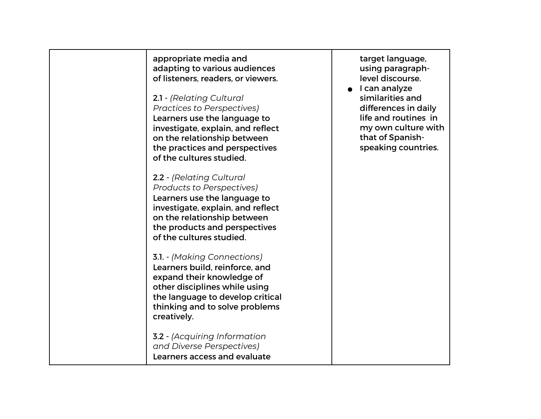appropriate media and adapting to various audiences of listeners, readers, or viewers.

2.1 - *(Relating Cultural Practices to Perspectives)*  Learners use the language to investigate, explain, and reflect on the relationship between the practices and perspectives of the cultures studied.

2.2 - *(Relating Cultural Products to Perspectives)* Learners use the language to investigate, explain, and reflect on the relationship between the products and perspectives of the cultures studied.

3.1. - *(Making Connections)* Learners build, reinforce, and expand their knowledge of other disciplines while using the language to develop critical thinking and to solve problems creatively.

3.2 - *(Acquiring Information and Diverse Perspectives)*  Learners access and evaluate target language, using paragraphlevel discourse.

● I can analyze similarities and differences in daily life and routines in my own culture with that of Spanishspeaking countries.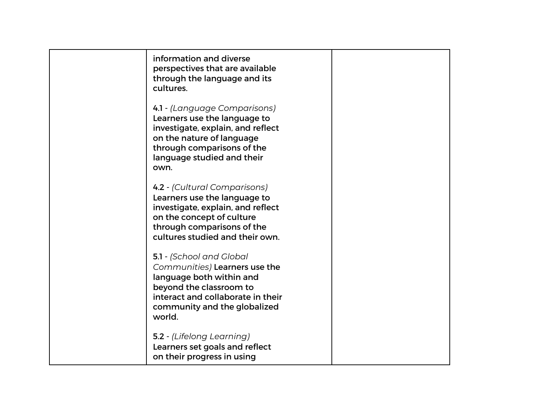| information and diverse<br>perspectives that are available<br>through the language and its<br>cultures.                                                                                            |  |
|----------------------------------------------------------------------------------------------------------------------------------------------------------------------------------------------------|--|
| 4.1 - (Language Comparisons)<br>Learners use the language to<br>investigate, explain, and reflect<br>on the nature of language<br>through comparisons of the<br>language studied and their<br>own. |  |
| 4.2 - (Cultural Comparisons)<br>Learners use the language to<br>investigate, explain, and reflect<br>on the concept of culture<br>through comparisons of the<br>cultures studied and their own.    |  |
| 5.1 - (School and Global<br>Communities) Learners use the<br>language both within and<br>beyond the classroom to<br>interact and collaborate in their<br>community and the globalized<br>world.    |  |
| 5.2 - (Lifelong Learning)<br>Learners set goals and reflect<br>on their progress in using                                                                                                          |  |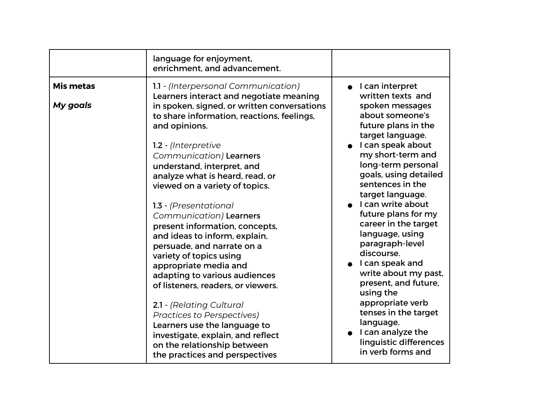|                              | language for enjoyment,<br>enrichment, and advancement.                                                                                                                                                                                                                                                                                                                                                                                                                                                                                                                                                                           |                                                                                                                                                                                                                                                                                                                                                                                                                                                     |
|------------------------------|-----------------------------------------------------------------------------------------------------------------------------------------------------------------------------------------------------------------------------------------------------------------------------------------------------------------------------------------------------------------------------------------------------------------------------------------------------------------------------------------------------------------------------------------------------------------------------------------------------------------------------------|-----------------------------------------------------------------------------------------------------------------------------------------------------------------------------------------------------------------------------------------------------------------------------------------------------------------------------------------------------------------------------------------------------------------------------------------------------|
| <b>Mis metas</b><br>My goals | 1.1 - (Interpersonal Communication)<br>Learners interact and negotiate meaning<br>in spoken, signed, or written conversations<br>to share information, reactions, feelings,<br>and opinions.<br>1.2 - (Interpretive<br>Communication) Learners<br>understand, interpret, and<br>analyze what is heard, read, or<br>viewed on a variety of topics.<br>1.3 - (Presentational<br>Communication) Learners<br>present information, concepts,<br>and ideas to inform, explain,<br>persuade, and narrate on a<br>variety of topics using<br>appropriate media and<br>adapting to various audiences<br>of listeners, readers, or viewers. | • I can interpret<br>written texts and<br>spoken messages<br>about someone's<br>future plans in the<br>target language.<br>I can speak about<br>my short-term and<br>long-term personal<br>goals, using detailed<br>sentences in the<br>target language.<br>I can write about<br>future plans for my<br>career in the target<br>language, using<br>paragraph-level<br>discourse.<br>I can speak and<br>write about my past,<br>present, and future, |
|                              | 2.1 - (Relating Cultural<br><b>Practices to Perspectives)</b><br>Learners use the language to<br>investigate, explain, and reflect<br>on the relationship between<br>the practices and perspectives                                                                                                                                                                                                                                                                                                                                                                                                                               | using the<br>appropriate verb<br>tenses in the target<br>language.<br>I can analyze the<br>linguistic differences<br>in verb forms and                                                                                                                                                                                                                                                                                                              |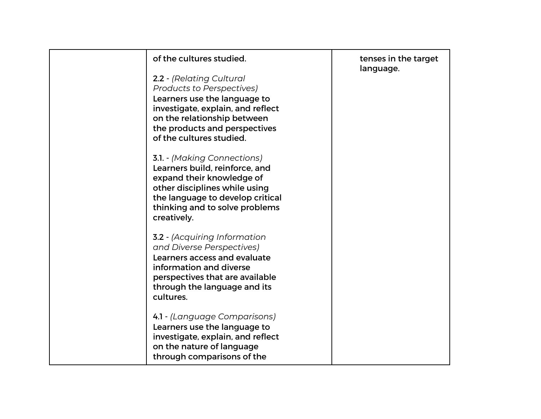| of the cultures studied.                                                                                                                                                                                                      | tenses in the target<br>language. |
|-------------------------------------------------------------------------------------------------------------------------------------------------------------------------------------------------------------------------------|-----------------------------------|
| 2.2 - (Relating Cultural<br><b>Products to Perspectives)</b><br>Learners use the language to<br>investigate, explain, and reflect<br>on the relationship between<br>the products and perspectives<br>of the cultures studied. |                                   |
| <b>3.1.</b> - (Making Connections)<br>Learners build, reinforce, and<br>expand their knowledge of<br>other disciplines while using<br>the language to develop critical<br>thinking and to solve problems<br>creatively.       |                                   |
| <b>3.2</b> - (Acquiring Information<br>and Diverse Perspectives)<br>Learners access and evaluate<br>information and diverse<br>perspectives that are available<br>through the language and its<br>cultures.                   |                                   |
| 4.1 - (Language Comparisons)<br>Learners use the language to<br>investigate, explain, and reflect<br>on the nature of language<br>through comparisons of the                                                                  |                                   |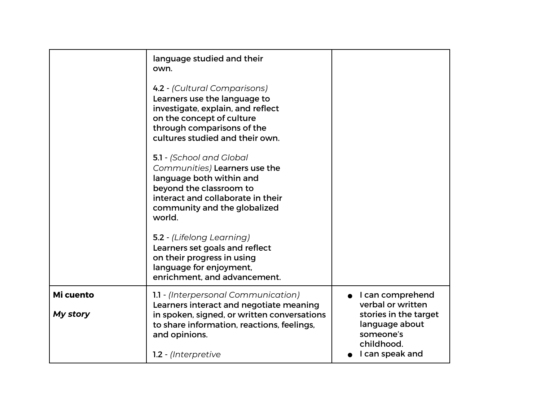|                       | language studied and their<br>own.<br>4.2 - (Cultural Comparisons)<br>Learners use the language to<br>investigate, explain, and reflect<br>on the concept of culture<br>through comparisons of the<br>cultures studied and their own.<br>5.1 - (School and Global<br>Communities) Learners use the<br>language both within and<br>beyond the classroom to<br>interact and collaborate in their<br>community and the globalized<br>world.<br>5.2 - (Lifelong Learning)<br>Learners set goals and reflect<br>on their progress in using<br>language for enjoyment,<br>enrichment, and advancement. |                                                                                                                                |
|-----------------------|--------------------------------------------------------------------------------------------------------------------------------------------------------------------------------------------------------------------------------------------------------------------------------------------------------------------------------------------------------------------------------------------------------------------------------------------------------------------------------------------------------------------------------------------------------------------------------------------------|--------------------------------------------------------------------------------------------------------------------------------|
| Mi cuento<br>My story | 1.1 - (Interpersonal Communication)<br>Learners interact and negotiate meaning<br>in spoken, signed, or written conversations<br>to share information, reactions, feelings,<br>and opinions.<br>1.2 - (Interpretive                                                                                                                                                                                                                                                                                                                                                                              | I can comprehend<br>verbal or written<br>stories in the target<br>language about<br>someone's<br>childhood.<br>I can speak and |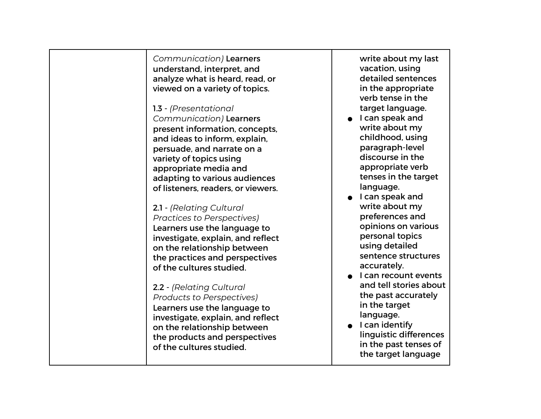*Communication)* Learners understand, interpret, and analyze what is heard, read, or viewed on a variety of topics.

1.3 - *(Presentational Communication)* Learners present information, concepts, and ideas to inform, explain, persuade, and narrate on a variety of topics using appropriate media and adapting to various audiences of listeners, readers, or viewers.

## 2.1 - *(Relating Cultural Practices to Perspectives)*

Learners use the language to investigate, explain, and reflect on the relationship between the practices and perspectives of the cultures studied.

## 2.2 - *(Relating Cultural*

*Products to Perspectives)* Learners use the language to investigate, explain, and reflect on the relationship between the products and perspectives of the cultures studied.

write about my last vacation, using detailed sentences in the appropriate verb tense in the target language.

- I can speak and write about my childhood, using paragraph-level discourse in the appropriate verb tenses in the target language.
- I can speak and write about my preferences and opinions on various personal topics using detailed sentence structures accurately.
- L can recount events and tell stories about the past accurately in the target language.
- I can identify linguistic differences in the past tenses of the target language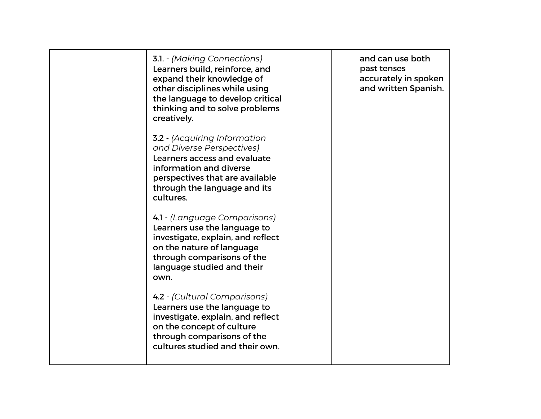| <b>3.1.</b> - (Making Connections)<br>Learners build, reinforce, and<br>expand their knowledge of<br>other disciplines while using<br>the language to develop critical<br>thinking and to solve problems<br>creatively. | and can use both<br>past tenses<br>accurately in spoken<br>and written Spanish. |
|-------------------------------------------------------------------------------------------------------------------------------------------------------------------------------------------------------------------------|---------------------------------------------------------------------------------|
| <b>3.2</b> - (Acquiring Information<br>and Diverse Perspectives)<br>Learners access and evaluate<br>information and diverse<br>perspectives that are available<br>through the language and its<br>cultures.             |                                                                                 |
| 4.1 - (Language Comparisons)<br>Learners use the language to<br>investigate, explain, and reflect<br>on the nature of language<br>through comparisons of the<br>language studied and their<br>own.                      |                                                                                 |
| 4.2 - (Cultural Comparisons)<br>Learners use the language to<br>investigate, explain, and reflect<br>on the concept of culture<br>through comparisons of the<br>cultures studied and their own.                         |                                                                                 |
|                                                                                                                                                                                                                         |                                                                                 |